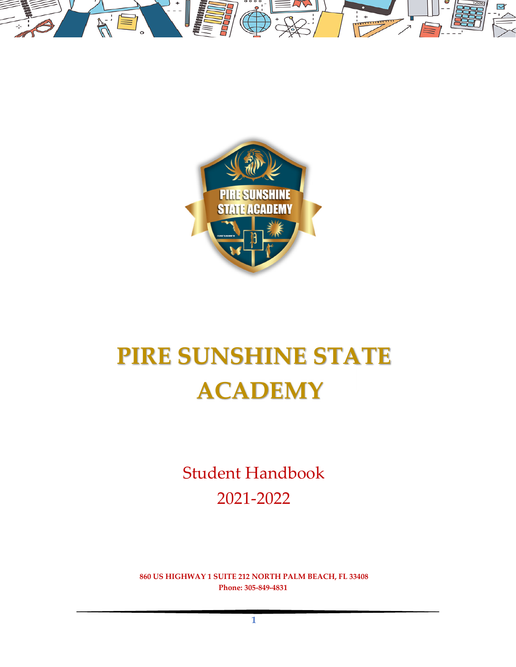



# **PIRE SUNSHINE STATE ACADEMY**

Student Handbook 2021‐2022

**860 US HIGHWAY 1 SUITE 212 NORTH PALM BEACH, FL 33408 Phone: 305‐849‐4831**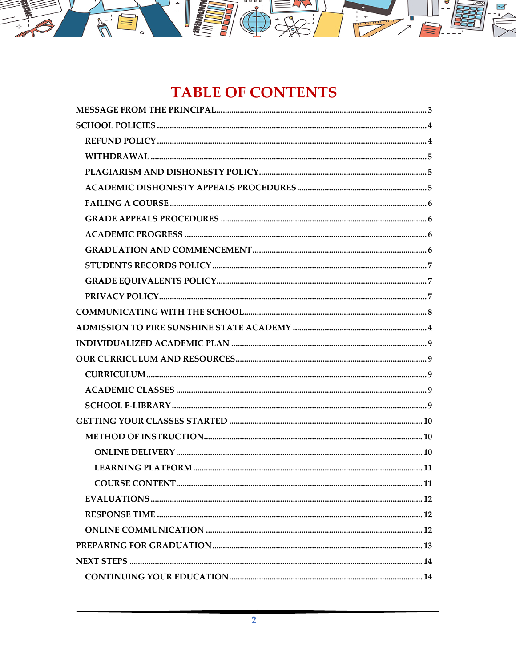

# **TABLE OF CONTENTS**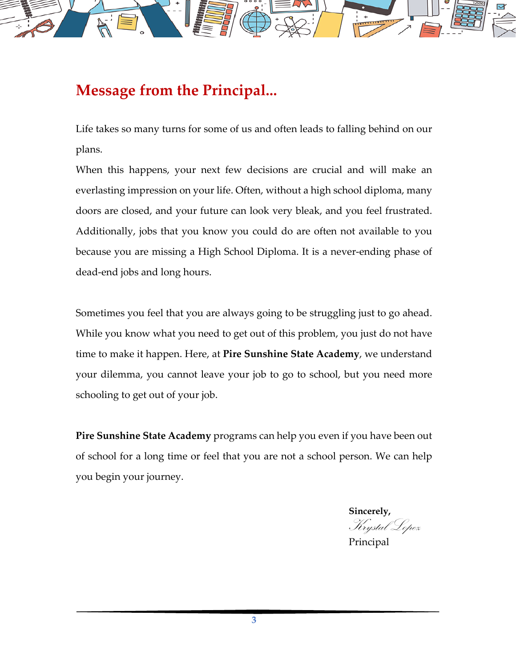

# **Message from the Principal...**

Life takes so many turns for some of us and often leads to falling behind on our plans.

When this happens, your next few decisions are crucial and will make an everlasting impression on your life. Often, without a high school diploma, many doors are closed, and your future can look very bleak, and you feel frustrated. Additionally, jobs that you know you could do are often not available to you because you are missing a High School Diploma. It is a never-ending phase of dead‐end jobs and long hours.

Sometimes you feel that you are always going to be struggling just to go ahead. While you know what you need to get out of this problem, you just do not have time to make it happen. Here, at **Pire Sunshine State Academy**, we understand your dilemma, you cannot leave your job to go to school, but you need more schooling to get out of your job.

**Pire Sunshine State Academy** programs can help you even if you have been out of school for a long time or feel that you are not a school person. We can help you begin your journey.

**Sincerely,**  Krystal Lopez

Principal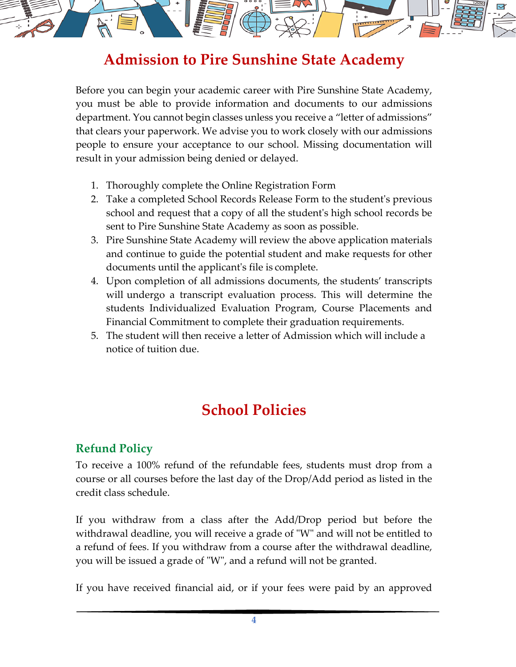

# **Admission to Pire Sunshine State Academy**

Before you can begin your academic career with Pire Sunshine State Academy, you must be able to provide information and documents to our admissions department. You cannot begin classes unless you receive a "letter of admissions" that clears your paperwork. We advise you to work closely with our admissions people to ensure your acceptance to our school. Missing documentation will result in your admission being denied or delayed.

- 1. Thoroughly complete the Online Registration Form
- 2. Take a completed School Records Release Form to the studentʹs previous school and request that a copy of all the studentʹs high school records be sent to Pire Sunshine State Academy as soon as possible.
- 3. Pire Sunshine State Academy will review the above application materials and continue to guide the potential student and make requests for other documents until the applicantʹs file is complete.
- 4. Upon completion of all admissions documents, the students' transcripts will undergo a transcript evaluation process. This will determine the students Individualized Evaluation Program, Course Placements and Financial Commitment to complete their graduation requirements.
- 5. The student will then receive a letter of Admission which will include a notice of tuition due.

# **School Policies**

# **Refund Policy**

To receive a 100% refund of the refundable fees, students must drop from a course or all courses before the last day of the Drop/Add period as listed in the credit class schedule.

If you withdraw from a class after the Add/Drop period but before the withdrawal deadline, you will receive a grade of "W" and will not be entitled to a refund of fees. If you withdraw from a course after the withdrawal deadline, you will be issued a grade of "W", and a refund will not be granted.

If you have received financial aid, or if your fees were paid by an approved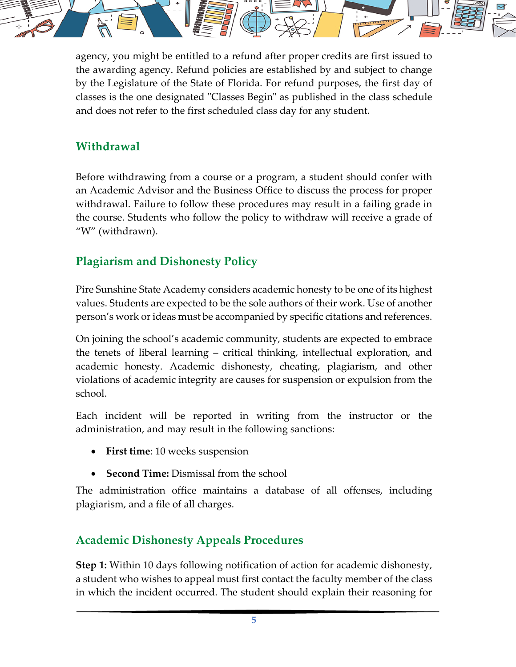

agency, you might be entitled to a refund after proper credits are first issued to the awarding agency. Refund policies are established by and subject to change by the Legislature of the State of Florida. For refund purposes, the first day of classes is the one designated "Classes Begin" as published in the class schedule and does not refer to the first scheduled class day for any student.

# **Withdrawal**

Before withdrawing from a course or a program, a student should confer with an Academic Advisor and the Business Office to discuss the process for proper withdrawal. Failure to follow these procedures may result in a failing grade in the course. Students who follow the policy to withdraw will receive a grade of "W" (withdrawn).

# **Plagiarism and Dishonesty Policy**

Pire Sunshine State Academy considers academic honesty to be one of its highest values. Students are expected to be the sole authors of their work. Use of another person's work or ideas must be accompanied by specific citations and references.

On joining the school's academic community, students are expected to embrace the tenets of liberal learning – critical thinking, intellectual exploration, and academic honesty. Academic dishonesty, cheating, plagiarism, and other violations of academic integrity are causes for suspension or expulsion from the school.

Each incident will be reported in writing from the instructor or the administration, and may result in the following sanctions:

- **First time**: 10 weeks suspension
- **Second Time:** Dismissal from the school

The administration office maintains a database of all offenses, including plagiarism, and a file of all charges.

## **Academic Dishonesty Appeals Procedures**

**Step 1:** Within 10 days following notification of action for academic dishonesty, a student who wishes to appeal must first contact the faculty member of the class in which the incident occurred. The student should explain their reasoning for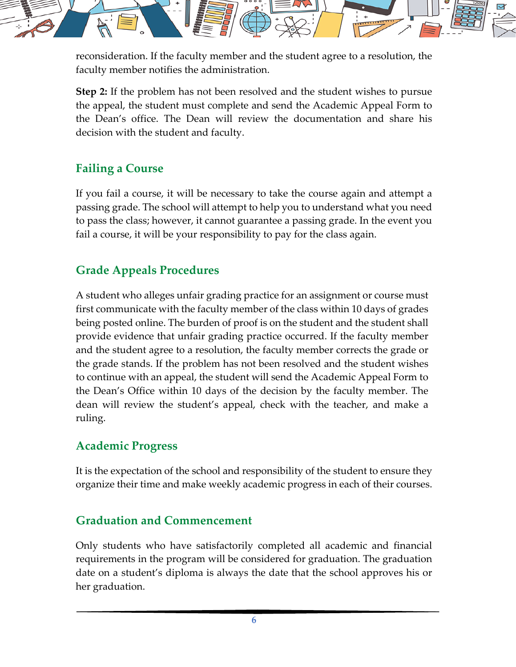

reconsideration. If the faculty member and the student agree to a resolution, the faculty member notifies the administration.

**Step 2:** If the problem has not been resolved and the student wishes to pursue the appeal, the student must complete and send the Academic Appeal Form to the Dean's office. The Dean will review the documentation and share his decision with the student and faculty.

### **Failing a Course**

If you fail a course, it will be necessary to take the course again and attempt a passing grade. The school will attempt to help you to understand what you need to pass the class; however, it cannot guarantee a passing grade. In the event you fail a course, it will be your responsibility to pay for the class again.

## **Grade Appeals Procedures**

A student who alleges unfair grading practice for an assignment or course must first communicate with the faculty member of the class within 10 days of grades being posted online. The burden of proof is on the student and the student shall provide evidence that unfair grading practice occurred. If the faculty member and the student agree to a resolution, the faculty member corrects the grade or the grade stands. If the problem has not been resolved and the student wishes to continue with an appeal, the student will send the Academic Appeal Form to the Dean's Office within 10 days of the decision by the faculty member. The dean will review the student's appeal, check with the teacher, and make a ruling.

#### **Academic Progress**

It is the expectation of the school and responsibility of the student to ensure they organize their time and make weekly academic progress in each of their courses.

## **Graduation and Commencement**

Only students who have satisfactorily completed all academic and financial requirements in the program will be considered for graduation. The graduation date on a student's diploma is always the date that the school approves his or her graduation.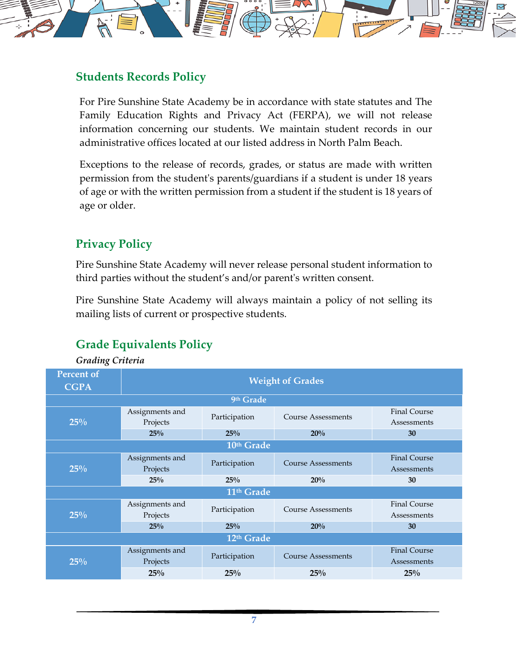

#### **Students Records Policy**

For Pire Sunshine State Academy be in accordance with state statutes and The Family Education Rights and Privacy Act (FERPA), we will not release information concerning our students. We maintain student records in our administrative offices located at our listed address in North Palm Beach.

Exceptions to the release of records, grades, or status are made with written permission from the studentʹs parents/guardians if a student is under 18 years of age or with the written permission from a student if the student is 18 years of age or older.

## **Privacy Policy**

Pire Sunshine State Academy will never release personal student information to third parties without the student's and/or parentʹs written consent.

Pire Sunshine State Academy will always maintain a policy of not selling its mailing lists of current or prospective students.

# **Grade Equivalents Policy**

*Grading Criteria*

| <b>Percent of</b><br><b>CGPA</b> | <b>Weight of Grades</b>     |               |                           |                                    |  |
|----------------------------------|-----------------------------|---------------|---------------------------|------------------------------------|--|
| 9th Grade                        |                             |               |                           |                                    |  |
| 25%                              | Assignments and<br>Projects | Participation | <b>Course Assessments</b> | <b>Final Course</b><br>Assessments |  |
|                                  | 25%                         | 25%           | 20%                       | 30                                 |  |
| 10th Grade                       |                             |               |                           |                                    |  |
| 25%                              | Assignments and<br>Projects | Participation | <b>Course Assessments</b> | <b>Final Course</b><br>Assessments |  |
|                                  | 25%                         | 25%           | 20%                       | 30                                 |  |
| 11 <sup>th</sup> Grade           |                             |               |                           |                                    |  |
| 25%                              | Assignments and<br>Projects | Participation | <b>Course Assessments</b> | <b>Final Course</b><br>Assessments |  |
|                                  | 25%                         | 25%           | 20%                       | 30                                 |  |
| 12 <sup>th</sup> Grade           |                             |               |                           |                                    |  |
| 25%                              | Assignments and<br>Projects | Participation | <b>Course Assessments</b> | <b>Final Course</b><br>Assessments |  |
|                                  | 25%                         | 25%           | 25%                       | 25%                                |  |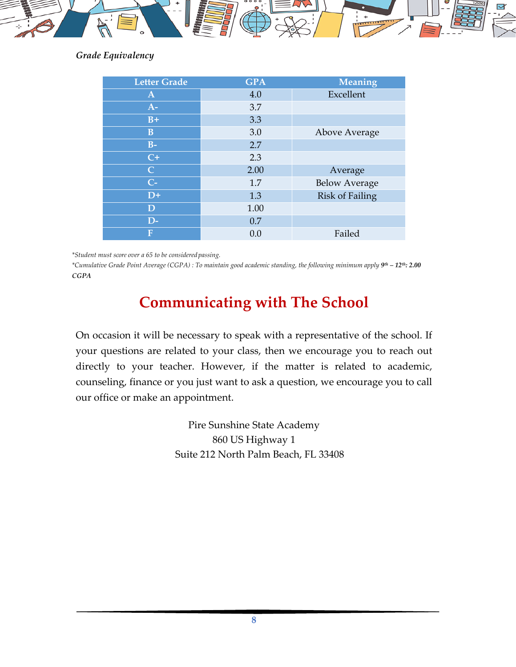

#### *Grade Equivalency*

| <b>Letter Grade</b> | <b>GPA</b> | <b>Meaning</b>         |
|---------------------|------------|------------------------|
| $\mathbf{A}$        | 4.0        | Excellent              |
| $A-$                | 3.7        |                        |
| $B+$                | 3.3        |                        |
| $\bf{B}$            | 3.0        | Above Average          |
| $B-$                | 2.7        |                        |
| $C+$                | 2.3        |                        |
| $\overline{C}$      | 2.00       | Average                |
| $C-$                | 1.7        | <b>Below Average</b>   |
| $D+$                | 1.3        | <b>Risk of Failing</b> |
| $\mathbf D$         | 1.00       |                        |
| $D-$                | 0.7        |                        |
| F                   | 0.0        | Failed                 |

*\*Student must score over a 65 to be consideredpassing.*

\*Cumulative Grade Point Average (CGPA) : To maintain good academic standing, the following minimum apply 9th - 12th; 2.00 *CGPA*

# **Communicating with The School**

On occasion it will be necessary to speak with a representative of the school. If your questions are related to your class, then we encourage you to reach out directly to your teacher. However, if the matter is related to academic, counseling, finance or you just want to ask a question, we encourage you to call our office or make an appointment.

> Pire Sunshine State Academy 860 US Highway 1 Suite 212 North Palm Beach, FL 33408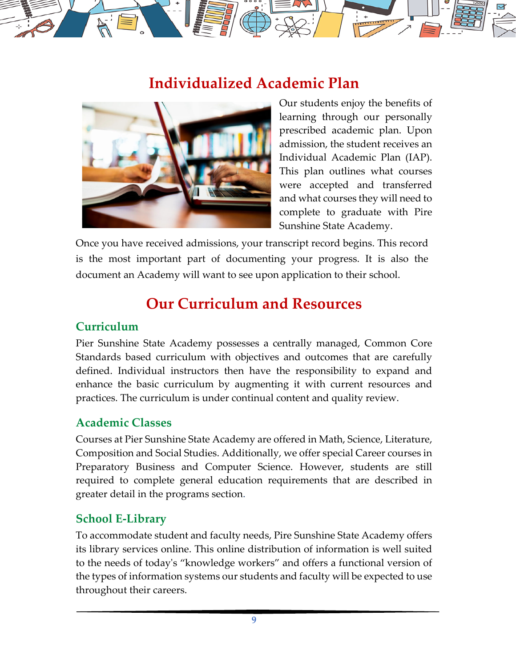# **Individualized Academic Plan**



Our students enjoy the benefits of learning through our personally prescribed academic plan. Upon admission, the student receives an Individual Academic Plan (IAP). This plan outlines what courses were accepted and transferred and what courses they will need to complete to graduate with Pire Sunshine State Academy.

Once you have received admissions, your transcript record begins. This record is the most important part of documenting your progress. It is also the document an Academy will want to see upon application to their school.

# **Our Curriculum and Resources**

#### **Curriculum**

Pier Sunshine State Academy possesses a centrally managed, Common Core Standards based curriculum with objectives and outcomes that are carefully defined. Individual instructors then have the responsibility to expand and enhance the basic curriculum by augmenting it with current resources and practices. The curriculum is under continual content and quality review.

#### **Academic Classes**

Courses at Pier Sunshine State Academy are offered in Math, Science, Literature, Composition and Social Studies. Additionally, we offer special Career courses in Preparatory Business and Computer Science. However, students are still required to complete general education requirements that are described in greater detail in the programs section.

#### **School E‐Library**

To accommodate student and faculty needs, Pire Sunshine State Academy offers its library services online. This online distribution of information is well suited to the needs of todayʹs "knowledge workers" and offers a functional version of the types of information systems our students and faculty will be expected to use throughout their careers.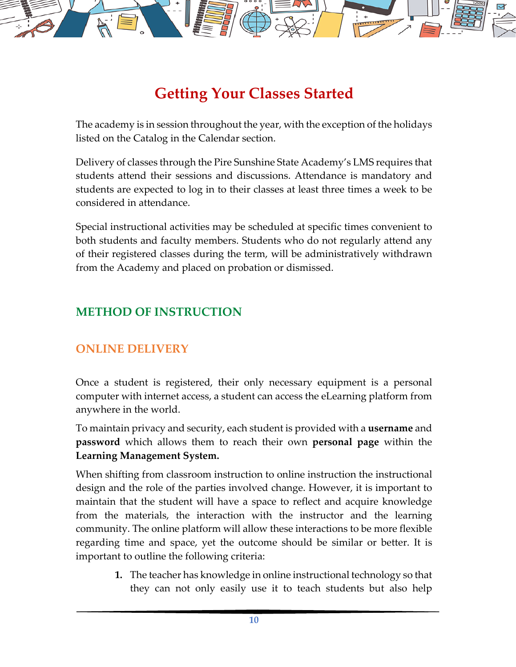

# **Getting Your Classes Started**

The academy is in session throughout the year, with the exception of the holidays listed on the Catalog in the Calendar section.

Delivery of classes through the Pire Sunshine State Academy's LMS requires that students attend their sessions and discussions. Attendance is mandatory and students are expected to log in to their classes at least three times a week to be considered in attendance.

Special instructional activities may be scheduled at specific times convenient to both students and faculty members. Students who do not regularly attend any of their registered classes during the term, will be administratively withdrawn from the Academy and placed on probation or dismissed.

### **METHOD OF INSTRUCTION**

#### **ONLINE DELIVERY**

Once a student is registered, their only necessary equipment is a personal computer with internet access, a student can access the eLearning platform from anywhere in the world.

To maintain privacy and security, each student is provided with a **username** and **password** which allows them to reach their own **personal page** within the **Learning Management System.**

When shifting from classroom instruction to online instruction the instructional design and the role of the parties involved change. However, it is important to maintain that the student will have a space to reflect and acquire knowledge from the materials, the interaction with the instructor and the learning community. The online platform will allow these interactions to be more flexible regarding time and space, yet the outcome should be similar or better. It is important to outline the following criteria:

> **1.** The teacher has knowledge in online instructional technology so that they can not only easily use it to teach students but also help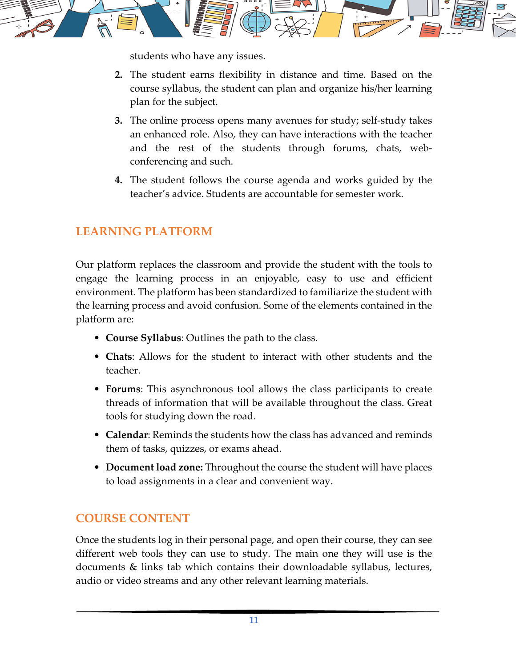

students who have any issues.

- **2.** The student earns flexibility in distance and time. Based on the course syllabus, the student can plan and organize his/her learning plan for the subject.
- **3.** The online process opens many avenues for study; self‐study takes an enhanced role. Also, they can have interactions with the teacher and the rest of the students through forums, chats, webconferencing and such.
- **4.** The student follows the course agenda and works guided by the teacher's advice. Students are accountable for semester work.

# **LEARNING PLATFORM**

Our platform replaces the classroom and provide the student with the tools to engage the learning process in an enjoyable, easy to use and efficient environment. The platform has been standardized to familiarize the student with the learning process and avoid confusion. Some of the elements contained in the platform are:

- **Course Syllabus**: Outlines the path to the class.
- **Chats**: Allows for the student to interact with other students and the teacher.
- **Forums**: This asynchronous tool allows the class participants to create threads of information that will be available throughout the class. Great tools for studying down the road.
- **Calendar**: Reminds the students how the class has advanced and reminds them of tasks, quizzes, or exams ahead.
- **Document load zone:** Throughout the course the student will have places to load assignments in a clear and convenient way.

## **COURSE CONTENT**

Once the students log in their personal page, and open their course, they can see different web tools they can use to study. The main one they will use is the documents & links tab which contains their downloadable syllabus, lectures, audio or video streams and any other relevant learning materials.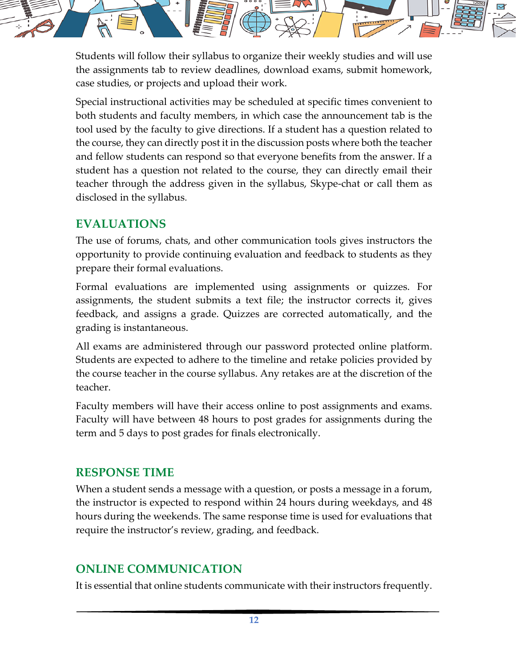

Students will follow their syllabus to organize their weekly studies and will use the assignments tab to review deadlines, download exams, submit homework, case studies, or projects and upload their work.

Special instructional activities may be scheduled at specific times convenient to both students and faculty members, in which case the announcement tab is the tool used by the faculty to give directions. If a student has a question related to the course, they can directly post it in the discussion posts where both the teacher and fellow students can respond so that everyone benefits from the answer. If a student has a question not related to the course, they can directly email their teacher through the address given in the syllabus, Skype‐chat or call them as disclosed in the syllabus.

#### **EVALUATIONS**

The use of forums, chats, and other communication tools gives instructors the opportunity to provide continuing evaluation and feedback to students as they prepare their formal evaluations.

Formal evaluations are implemented using assignments or quizzes. For assignments, the student submits a text file; the instructor corrects it, gives feedback, and assigns a grade. Quizzes are corrected automatically, and the grading is instantaneous.

All exams are administered through our password protected online platform. Students are expected to adhere to the timeline and retake policies provided by the course teacher in the course syllabus. Any retakes are at the discretion of the teacher.

Faculty members will have their access online to post assignments and exams. Faculty will have between 48 hours to post grades for assignments during the term and 5 days to post grades for finals electronically.

#### **RESPONSE TIME**

When a student sends a message with a question, or posts a message in a forum, the instructor is expected to respond within 24 hours during weekdays, and 48 hours during the weekends. The same response time is used for evaluations that require the instructor's review, grading, and feedback.

## **ONLINE COMMUNICATION**

It is essential that online students communicate with their instructors frequently.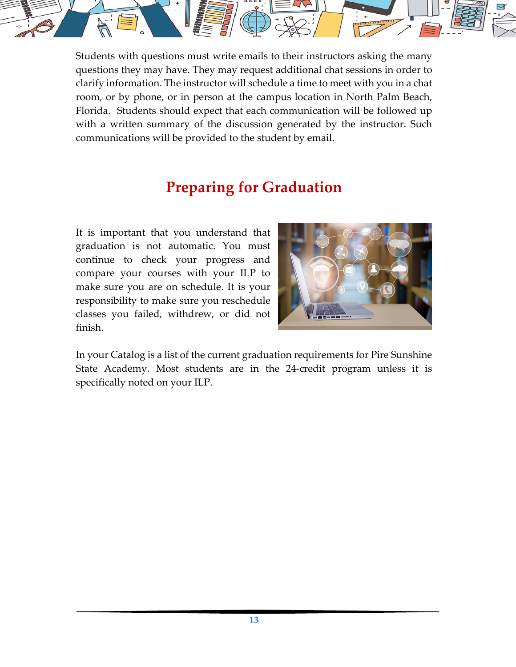

Students with questions must write emails to their instructors asking the many questions they may have. They may request additional chat sessions in order to clarify information. The instructor will schedule a time to meet with you in a chat room, or by phone, or in person at the campus location in North Palm Beach, Florida. Students should expect that each communication will be followed up with a written summary of the discussion generated by the instructor. Such communications will be provided to the student by email.

# **Preparing for Graduation**

It is important that you understand that graduation is not automatic. You must continue to check your progress and compare your courses with your ILP to make sure you are on schedule. It is your responsibility to make sure you reschedule classes you failed, withdrew, or did not finish.



In your Catalog is a list of the current graduation requirements for Pire Sunshine State Academy. Most students are in the 24‐credit program unless it is specifically noted on your ILP.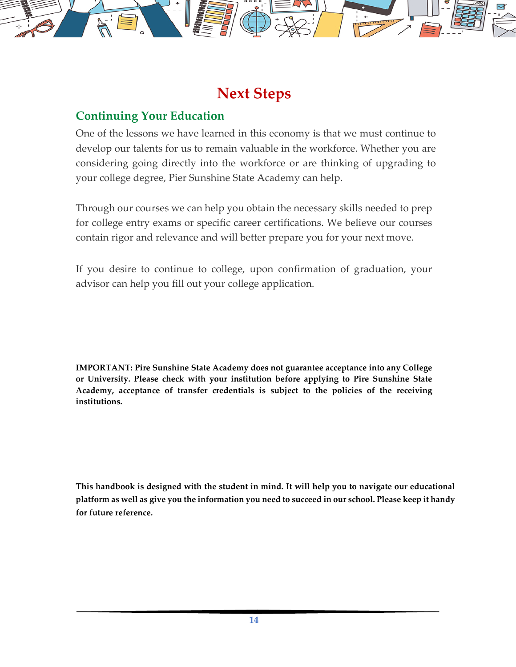

# **Next Steps**

### **Continuing Your Education**

One of the lessons we have learned in this economy is that we must continue to develop our talents for us to remain valuable in the workforce. Whether you are considering going directly into the workforce or are thinking of upgrading to your college degree, Pier Sunshine State Academy can help.

Through our courses we can help you obtain the necessary skills needed to prep for college entry exams or specific career certifications. We believe our courses contain rigor and relevance and will better prepare you for your next move.

If you desire to continue to college, upon confirmation of graduation, your advisor can help you fill out your college application.

**IMPORTANT: Pire Sunshine State Academy does not guarantee acceptance into any College or University. Please check with your institution before applying to Pire Sunshine State Academy, acceptance of transfer credentials is subject to the policies of the receiving institutions.**

**This handbook is designed with the student in mind. It will help you to navigate our educational** platform as well as give you the information you need to succeed in our school. Please keep it handy **for future reference.**